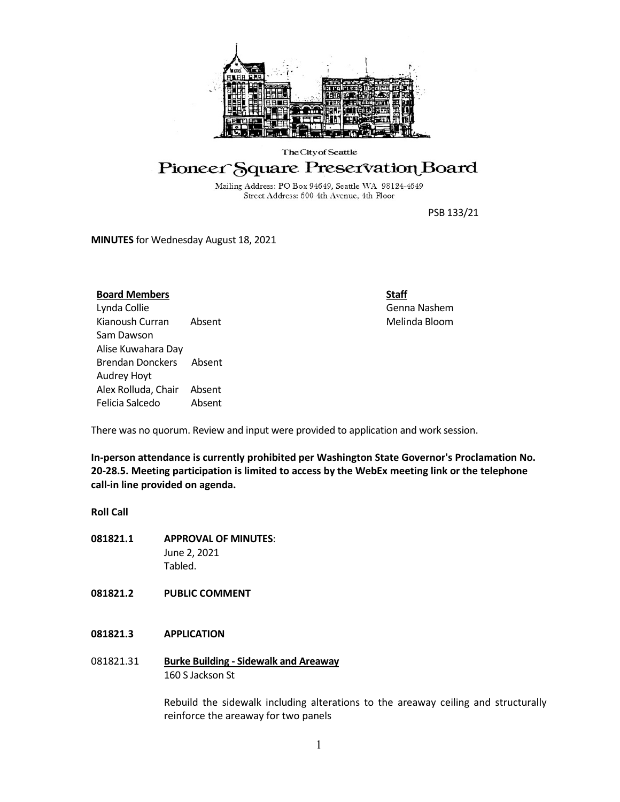

#### The City of Seattle

# Pioneer Square Preservation Board

Mailing Address: PO Box 94649, Seattle WA 98124-4649 Street Address: 600 4th Avenue, 4th Floor

PSB 133/21

**MINUTES** for Wednesday August 18, 2021

# **Board Members**

Lynda Collie Kianoush Curran Absent Sam Dawson Alise Kuwahara Day Brendan Donckers Absent Audrey Hoyt Alex Rolluda, Chair Absent Felicia Salcedo Absent **Staff** Genna Nashem Melinda Bloom

There was no quorum. Review and input were provided to application and work session.

**In-person attendance is currently prohibited per Washington State Governor's Proclamation No. 20-28.5. Meeting participation is limited to access by the WebEx meeting link or the telephone call-in line provided on agenda.**

# **Roll Call**

- **081821.1 APPROVAL OF MINUTES**: June 2, 2021 Tabled.
- **081821.2 PUBLIC COMMENT**

# **081821.3 APPLICATION**

081821.31 **Burke Building - Sidewalk and Areaway** 160 S Jackson St

> Rebuild the sidewalk including alterations to the areaway ceiling and structurally reinforce the areaway for two panels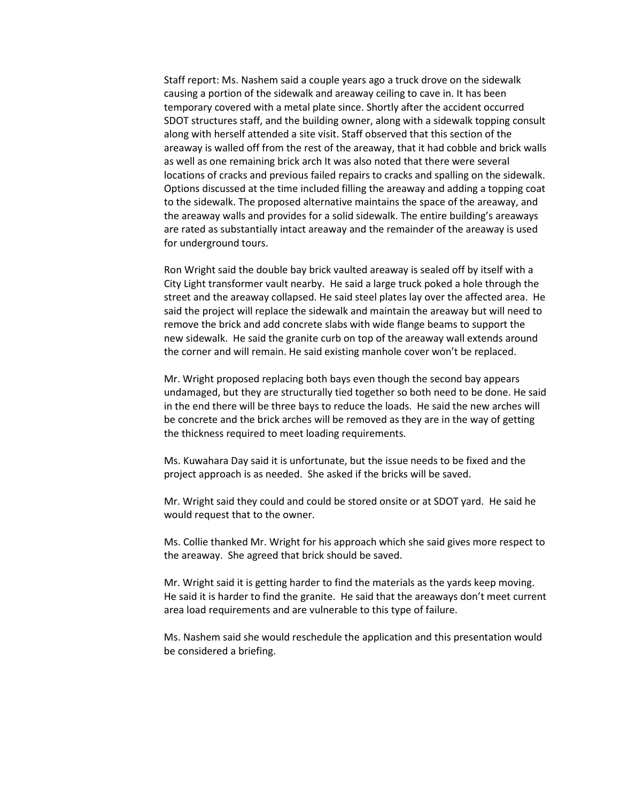Staff report: Ms. Nashem said a couple years ago a truck drove on the sidewalk causing a portion of the sidewalk and areaway ceiling to cave in. It has been temporary covered with a metal plate since. Shortly after the accident occurred SDOT structures staff, and the building owner, along with a sidewalk topping consult along with herself attended a site visit. Staff observed that this section of the areaway is walled off from the rest of the areaway, that it had cobble and brick walls as well as one remaining brick arch It was also noted that there were several locations of cracks and previous failed repairs to cracks and spalling on the sidewalk. Options discussed at the time included filling the areaway and adding a topping coat to the sidewalk. The proposed alternative maintains the space of the areaway, and the areaway walls and provides for a solid sidewalk. The entire building's areaways are rated as substantially intact areaway and the remainder of the areaway is used for underground tours.

Ron Wright said the double bay brick vaulted areaway is sealed off by itself with a City Light transformer vault nearby. He said a large truck poked a hole through the street and the areaway collapsed. He said steel plates lay over the affected area. He said the project will replace the sidewalk and maintain the areaway but will need to remove the brick and add concrete slabs with wide flange beams to support the new sidewalk. He said the granite curb on top of the areaway wall extends around the corner and will remain. He said existing manhole cover won't be replaced.

Mr. Wright proposed replacing both bays even though the second bay appears undamaged, but they are structurally tied together so both need to be done. He said in the end there will be three bays to reduce the loads. He said the new arches will be concrete and the brick arches will be removed as they are in the way of getting the thickness required to meet loading requirements.

Ms. Kuwahara Day said it is unfortunate, but the issue needs to be fixed and the project approach is as needed. She asked if the bricks will be saved.

Mr. Wright said they could and could be stored onsite or at SDOT yard. He said he would request that to the owner.

Ms. Collie thanked Mr. Wright for his approach which she said gives more respect to the areaway. She agreed that brick should be saved.

Mr. Wright said it is getting harder to find the materials as the yards keep moving. He said it is harder to find the granite. He said that the areaways don't meet current area load requirements and are vulnerable to this type of failure.

Ms. Nashem said she would reschedule the application and this presentation would be considered a briefing.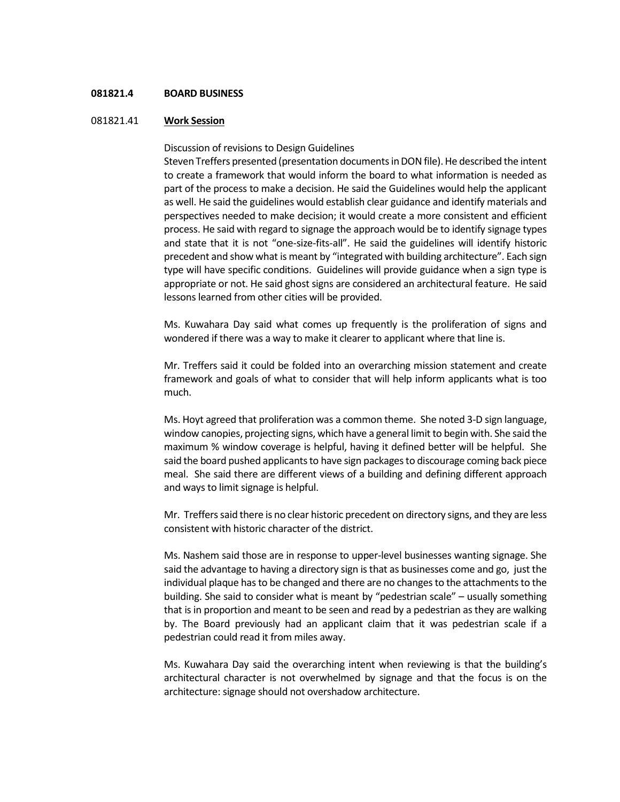## **081821.4 BOARD BUSINESS**

## 081821.41 **Work Session**

Discussion of revisions to Design Guidelines

Steven Treffers presented (presentation documents in DON file). He described the intent to create a framework that would inform the board to what information is needed as part of the process to make a decision. He said the Guidelines would help the applicant as well. He said the guidelines would establish clear guidance and identify materials and perspectives needed to make decision; it would create a more consistent and efficient process. He said with regard to signage the approach would be to identify signage types and state that it is not "one-size-fits-all". He said the guidelines will identify historic precedent and show what is meant by "integrated with building architecture". Each sign type will have specific conditions. Guidelines will provide guidance when a sign type is appropriate or not. He said ghost signs are considered an architectural feature. He said lessons learned from other cities will be provided.

Ms. Kuwahara Day said what comes up frequently is the proliferation of signs and wondered if there was a way to make it clearer to applicant where that line is.

Mr. Treffers said it could be folded into an overarching mission statement and create framework and goals of what to consider that will help inform applicants what is too much.

Ms. Hoyt agreed that proliferation was a common theme. She noted 3-D sign language, window canopies, projecting signs, which have a general limit to begin with. She said the maximum % window coverage is helpful, having it defined better will be helpful. She said the board pushed applicants to have sign packages to discourage coming back piece meal. She said there are different views of a building and defining different approach and ways to limit signage is helpful.

Mr. Treffers said there is no clear historic precedent on directory signs, and they are less consistent with historic character of the district.

Ms. Nashem said those are in response to upper-level businesses wanting signage. She said the advantage to having a directory sign is that as businesses come and go, just the individual plaque has to be changed and there are no changes to the attachments to the building. She said to consider what is meant by "pedestrian scale" – usually something that is in proportion and meant to be seen and read by a pedestrian as they are walking by. The Board previously had an applicant claim that it was pedestrian scale if a pedestrian could read it from miles away.

Ms. Kuwahara Day said the overarching intent when reviewing is that the building's architectural character is not overwhelmed by signage and that the focus is on the architecture: signage should not overshadow architecture.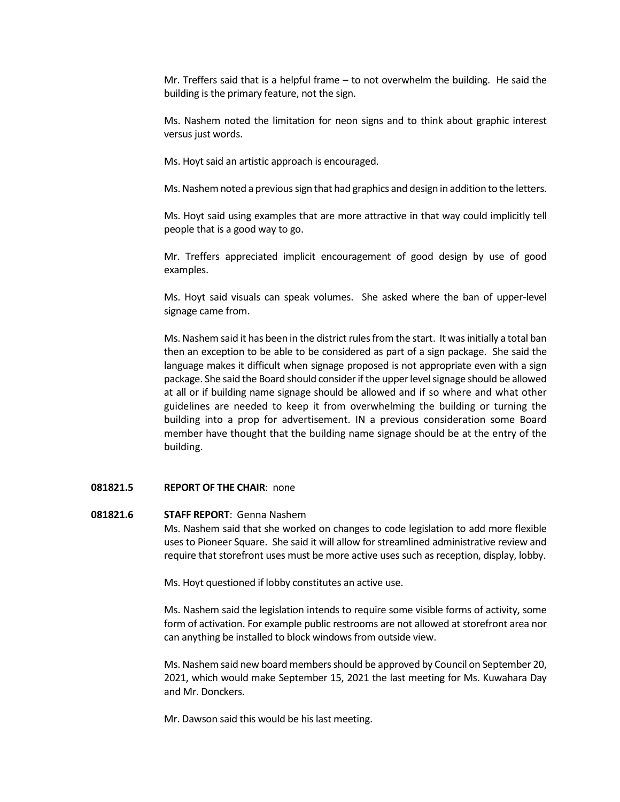Mr. Treffers said that is a helpful frame – to not overwhelm the building. He said the building is the primary feature, not the sign.

Ms. Nashem noted the limitation for neon signs and to think about graphic interest versus just words.

Ms. Hoyt said an artistic approach is encouraged.

Ms. Nashem noted a previous sign that had graphics and design in addition to the letters.

Ms. Hoyt said using examples that are more attractive in that way could implicitly tell people that is a good way to go.

Mr. Treffers appreciated implicit encouragement of good design by use of good examples.

Ms. Hoyt said visuals can speak volumes. She asked where the ban of upper-level signage came from.

Ms. Nashem said it has been in the district rules from the start. It was initially a total ban then an exception to be able to be considered as part of a sign package. She said the language makes it difficult when signage proposed is not appropriate even with a sign package. She said the Board should consider if the upper level signage should be allowed at all or if building name signage should be allowed and if so where and what other guidelines are needed to keep it from overwhelming the building or turning the building into a prop for advertisement. IN a previous consideration some Board member have thought that the building name signage should be at the entry of the building.

#### **081821.5 REPORT OF THE CHAIR**: none

#### **081821.6 STAFF REPORT**: Genna Nashem

Ms. Nashem said that she worked on changes to code legislation to add more flexible uses to Pioneer Square. She said it will allow for streamlined administrative review and require that storefront uses must be more active uses such as reception, display, lobby.

Ms. Hoyt questioned if lobby constitutes an active use.

Ms. Nashem said the legislation intends to require some visible forms of activity, some form of activation. For example public restrooms are not allowed at storefront area nor can anything be installed to block windows from outside view.

Ms. Nashem said new board members should be approved by Council on September 20, 2021, which would make September 15, 2021 the last meeting for Ms. Kuwahara Day and Mr. Donckers.

Mr. Dawson said this would be his last meeting.